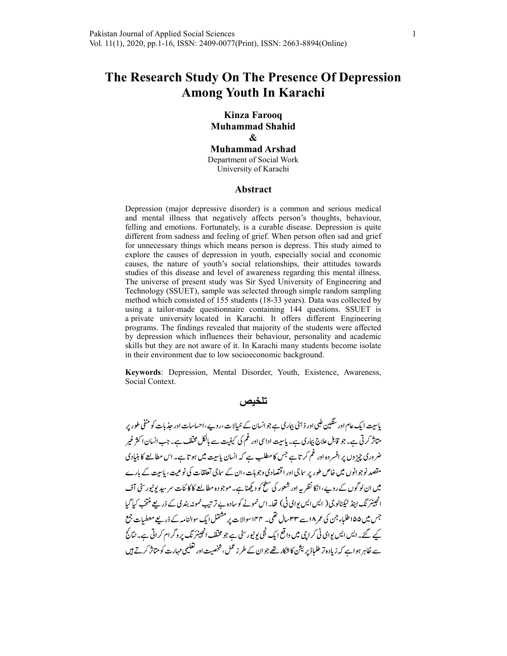# The Research Study On The Presence Of Depression Among Youth In Karachi

Kinza Farooq Muhammad Shahid & Muhammad Arshad Department of Social Work University of Karachi

#### Abstract

Depression (major depressive disorder) is a common and serious medical and mental illness that negatively affects person's thoughts, behaviour, felling and emotions. Fortunately, is a curable disease. Depression is quite different from sadness and feeling of grief. When person often sad and grief for unnecessary things which means person is depress. This study aimed to explore the causes of depression in youth, especially social and economic causes, the nature of youth's social relationships, their attitudes towards studies of this disease and level of awareness regarding this mental illness. The universe of present study was Sir Syed University of Engineering and Technology (SSUET), sample was selected through simple random sampling method which consisted of 155 students (18-33 years). Data was collected by using a tailor-made questionnaire containing 144 questions. SSUET is a private university located in Karachi. It offers different Engineering programs. The findings revealed that majority of the students were affected by depression which influences their behaviour, personality and academic skills but they are not aware of it. In Karachi many students become isolate in their environment due to low socioeconomic background.

Keywords: Depression, Mental Disorder, Youth, Existence, Awareness, Social Context.

### تلخيص

پاسیت ایک عام اور سنگین طبی اور ذہنی بیاری ہے جو انسان کے خیالات،روپے،احساسات اور حذیات کو منفی طور پر متاثر کرتی ہے۔ جو قابل علاج بیاری ہے۔ پاسیت اداسی اور غم کی کیفیت سے بالکل مخلف ہے۔ جب انسان اکثر غیر ضر دری چز دں پر افسر دہ اور غم کر تاہے جس کا مطلب ہے کہ انسان پاسیت میں ہو تاہے۔ اس مطالعے کا بنیادی مقصد نوجوانوں میں خاص طور پر ساجی اور اقتصادی وجوہات ،ان کے ساجی تعلقات کی نوعیت ، پاسیت کے بارے میں ان لو گوں کے روپے ، انکا نظر یہ اور شعور کی سطح کو دیکھنا ہے۔ موجودہ مطالعے کا کائنات سر سید یو نیورسٹی آف انجینئر نگ اینڈ ٹیکنالوجی( ایس ایس بوای ٹی) تھا۔اس نمونے کوسادہ بے ترتیب نمونہ بندی کے ذریعے منتخب کیا گیا جس میں ۱۵۵طلباء جن کی عمر ۱۸ سے ۳۳سال تھی۔ ۱۴۴ سوالات پر مشتمل ایک سوالنامہ کے ذریعے معطیات جمع کیے گئے۔ایس ایس یوای ٹی کراچی میں واقع ایک ٹجی پونیورسٹی ہے جو مخلف انجینئر ٹک پروگرام کراتی ہے۔ نتائج سے ظاہر ہوا ہے کہ زیادہ تر طلباڈ پریشن کا شکار تھے جو ان کے طرز عمل، شخصیت اور تعلیمی مہارت کو متاثر کرتے ہیں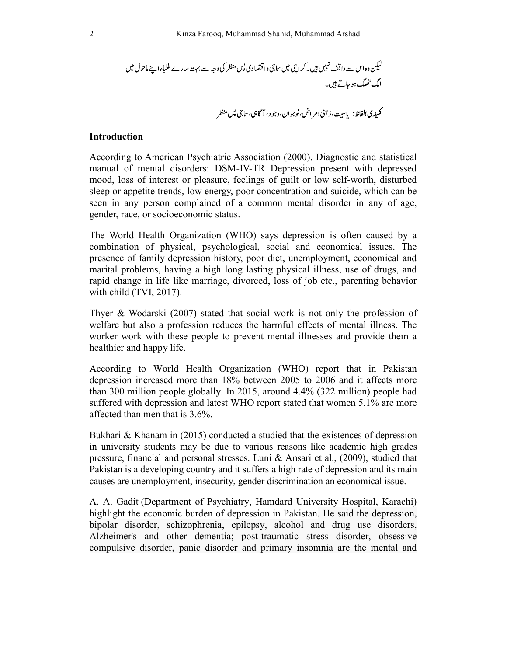### Introduction

According to American Psychiatric Association (2000). Diagnostic and statistical manual of mental disorders: DSM-IV-TR Depression present with depressed mood, loss of interest or pleasure, feelings of guilt or low self-worth, disturbed sleep or appetite trends, low energy, poor concentration and suicide, which can be seen in any person complained of a common mental disorder in any of age, gender, race, or socioeconomic status.

The World Health Organization (WHO) says depression is often caused by a combination of physical, psychological, social and economical issues. The presence of family depression history, poor diet, unemployment, economical and marital problems, having a high long lasting physical illness, use of drugs, and rapid change in life like marriage, divorced, loss of job etc., parenting behavior with child (TVI, 2017).

Thyer & Wodarski (2007) stated that social work is not only the profession of welfare but also a profession reduces the harmful effects of mental illness. The worker work with these people to prevent mental illnesses and provide them a healthier and happy life.

According to World Health Organization (WHO) report that in Pakistan depression increased more than 18% between 2005 to 2006 and it affects more than 300 million people globally. In 2015, around 4.4% (322 million) people had suffered with depression and latest WHO report stated that women 5.1% are more affected than men that is 3.6%.

Bukhari & Khanam in (2015) conducted a studied that the existences of depression in university students may be due to various reasons like academic high grades pressure, financial and personal stresses. Luni & Ansari et al., (2009), studied that Pakistan is a developing country and it suffers a high rate of depression and its main causes are unemployment, insecurity, gender discrimination an economical issue.

A. A. Gadit (Department of Psychiatry, Hamdard University Hospital, Karachi) highlight the economic burden of depression in Pakistan. He said the depression, bipolar disorder, schizophrenia, epilepsy, alcohol and drug use disorders, Alzheimer's and other dementia; post-traumatic stress disorder, obsessive compulsive disorder, panic disorder and primary insomnia are the mental and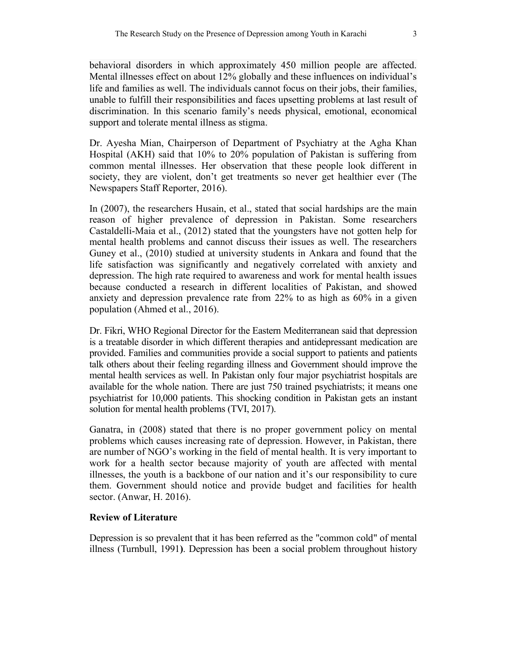behavioral disorders in which approximately 450 million people are affected. Mental illnesses effect on about 12% globally and these influences on individual's life and families as well. The individuals cannot focus on their jobs, their families, unable to fulfill their responsibilities and faces upsetting problems at last result of discrimination. In this scenario family's needs physical, emotional, economical support and tolerate mental illness as stigma.

Dr. Ayesha Mian, Chairperson of Department of Psychiatry at the Agha Khan Hospital (AKH) said that 10% to 20% population of Pakistan is suffering from common mental illnesses. Her observation that these people look different in society, they are violent, don't get treatments so never get healthier ever (The Newspapers Staff Reporter, 2016).

In (2007), the researchers Husain, et al., stated that social hardships are the main reason of higher prevalence of depression in Pakistan. Some researchers Castaldelli-Maia et al., (2012) stated that the youngsters have not gotten help for mental health problems and cannot discuss their issues as well. The researchers Guney et al., (2010) studied at university students in Ankara and found that the life satisfaction was significantly and negatively correlated with anxiety and depression. The high rate required to awareness and work for mental health issues because conducted a research in different localities of Pakistan, and showed anxiety and depression prevalence rate from 22% to as high as 60% in a given population (Ahmed et al., 2016).

Dr. Fikri, WHO Regional Director for the Eastern Mediterranean said that depression is a treatable disorder in which different therapies and antidepressant medication are provided. Families and communities provide a social support to patients and patients talk others about their feeling regarding illness and Government should improve the mental health services as well. In Pakistan only four major psychiatrist hospitals are available for the whole nation. There are just 750 trained psychiatrists; it means one psychiatrist for 10,000 patients. This shocking condition in Pakistan gets an instant solution for mental health problems (TVI, 2017).

Ganatra, in (2008) stated that there is no proper government policy on mental problems which causes increasing rate of depression. However, in Pakistan, there are number of NGO's working in the field of mental health. It is very important to work for a health sector because majority of youth are affected with mental illnesses, the youth is a backbone of our nation and it's our responsibility to cure them. Government should notice and provide budget and facilities for health sector. (Anwar, H. 2016).

#### Review of Literature

Depression is so prevalent that it has been referred as the "common cold" of mental illness (Turnbull, 1991). Depression has been a social problem throughout history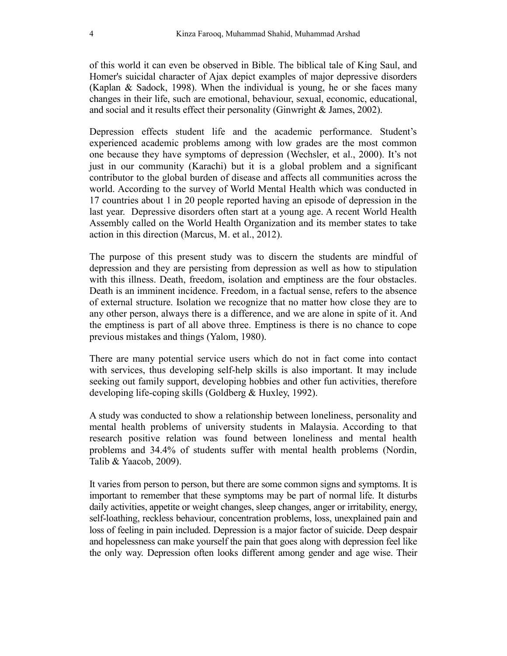of this world it can even be observed in Bible. The biblical tale of King Saul, and Homer's suicidal character of Ajax depict examples of major depressive disorders (Kaplan & Sadock, 1998). When the individual is young, he or she faces many changes in their life, such are emotional, behaviour, sexual, economic, educational, and social and it results effect their personality (Ginwright & James, 2002).

Depression effects student life and the academic performance. Student's experienced academic problems among with low grades are the most common one because they have symptoms of depression (Wechsler, et al., 2000). It's not just in our community (Karachi) but it is a global problem and a significant contributor to the global burden of disease and affects all communities across the world. According to the survey of World Mental Health which was conducted in 17 countries about 1 in 20 people reported having an episode of depression in the last year. Depressive disorders often start at a young age. A recent World Health Assembly called on the World Health Organization and its member states to take action in this direction (Marcus, M. et al., 2012).

The purpose of this present study was to discern the students are mindful of depression and they are persisting from depression as well as how to stipulation with this illness. Death, freedom, isolation and emptiness are the four obstacles. Death is an imminent incidence. Freedom, in a factual sense, refers to the absence of external structure. Isolation we recognize that no matter how close they are to any other person, always there is a difference, and we are alone in spite of it. And the emptiness is part of all above three. Emptiness is there is no chance to cope previous mistakes and things (Yalom, 1980).

There are many potential service users which do not in fact come into contact with services, thus developing self-help skills is also important. It may include seeking out family support, developing hobbies and other fun activities, therefore developing life-coping skills (Goldberg & Huxley, 1992).

A study was conducted to show a relationship between loneliness, personality and mental health problems of university students in Malaysia. According to that research positive relation was found between loneliness and mental health problems and 34.4% of students suffer with mental health problems (Nordin, Talib & Yaacob, 2009).

It varies from person to person, but there are some common signs and symptoms. It is important to remember that these symptoms may be part of normal life. It disturbs daily activities, appetite or weight changes, sleep changes, anger or irritability, energy, self-loathing, reckless behaviour, concentration problems, loss, unexplained pain and loss of feeling in pain included. Depression is a major factor of suicide. Deep despair and hopelessness can make yourself the pain that goes along with depression feel like the only way. Depression often looks different among gender and age wise. Their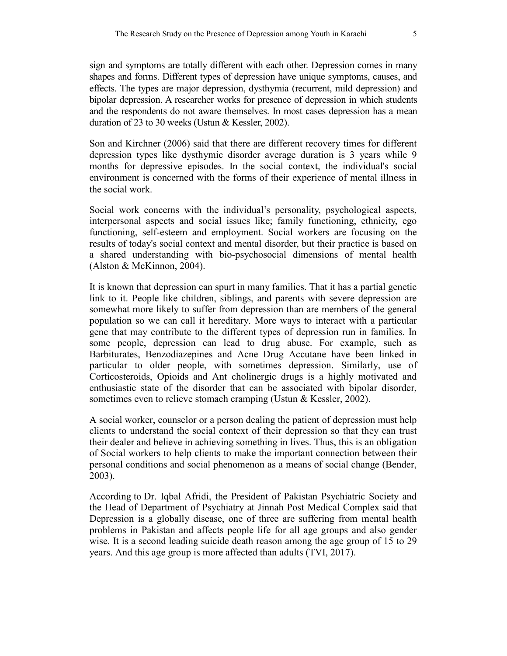sign and symptoms are totally different with each other. Depression comes in many shapes and forms. Different types of depression have unique symptoms, causes, and effects. The types are major depression, dysthymia (recurrent, mild depression) and bipolar depression. A researcher works for presence of depression in which students and the respondents do not aware themselves. In most cases depression has a mean duration of 23 to 30 weeks (Ustun & Kessler, 2002).

Son and Kirchner (2006) said that there are different recovery times for different depression types like dysthymic disorder average duration is 3 years while 9 months for depressive episodes. In the social context, the individual's social environment is concerned with the forms of their experience of mental illness in the social work.

Social work concerns with the individual's personality, psychological aspects, interpersonal aspects and social issues like; family functioning, ethnicity, ego functioning, self-esteem and employment. Social workers are focusing on the results of today's social context and mental disorder, but their practice is based on a shared understanding with bio-psychosocial dimensions of mental health (Alston & McKinnon, 2004).

It is known that depression can spurt in many families. That it has a partial genetic link to it. People like children, siblings, and parents with severe depression are somewhat more likely to suffer from depression than are members of the general population so we can call it hereditary. More ways to interact with a particular gene that may contribute to the different types of depression run in families. In some people, depression can lead to drug abuse. For example, such as Barbiturates, Benzodiazepines and Acne Drug Accutane have been linked in particular to older people, with sometimes depression. Similarly, use of Corticosteroids, Opioids and Ant cholinergic drugs is a highly motivated and enthusiastic state of the disorder that can be associated with bipolar disorder, sometimes even to relieve stomach cramping (Ustun & Kessler, 2002).

A social worker, counselor or a person dealing the patient of depression must help clients to understand the social context of their depression so that they can trust their dealer and believe in achieving something in lives. Thus, this is an obligation of Social workers to help clients to make the important connection between their personal conditions and social phenomenon as a means of social change (Bender, 2003).

According to Dr. Iqbal Afridi, the President of Pakistan Psychiatric Society and the Head of Department of Psychiatry at Jinnah Post Medical Complex said that Depression is a globally disease, one of three are suffering from mental health problems in Pakistan and affects people life for all age groups and also gender wise. It is a second leading suicide death reason among the age group of 15 to 29 years. And this age group is more affected than adults (TVI, 2017).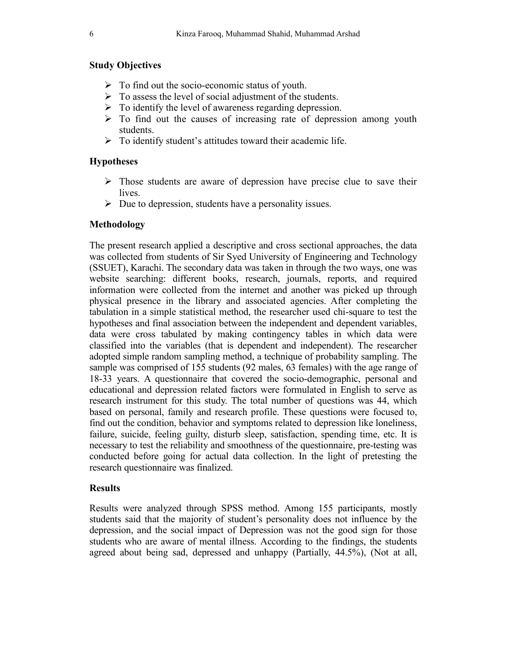# Study Objectives

- $\triangleright$  To find out the socio-economic status of youth.
- $\triangleright$  To assess the level of social adjustment of the students.
- $\triangleright$  To identify the level of awareness regarding depression.
- $\triangleright$  To find out the causes of increasing rate of depression among youth students.
- $\triangleright$  To identify student's attitudes toward their academic life.

# **Hypotheses**

- $\triangleright$  Those students are aware of depression have precise clue to save their lives.
- $\triangleright$  Due to depression, students have a personality issues.

# Methodology

The present research applied a descriptive and cross sectional approaches, the data was collected from students of Sir Syed University of Engineering and Technology (SSUET), Karachi. The secondary data was taken in through the two ways, one was website searching: different books, research, journals, reports, and required information were collected from the internet and another was picked up through physical presence in the library and associated agencies. After completing the tabulation in a simple statistical method, the researcher used chi-square to test the hypotheses and final association between the independent and dependent variables, data were cross tabulated by making contingency tables in which data were classified into the variables (that is dependent and independent). The researcher adopted simple random sampling method, a technique of probability sampling. The sample was comprised of 155 students (92 males, 63 females) with the age range of 18-33 years. A questionnaire that covered the socio-demographic, personal and educational and depression related factors were formulated in English to serve as research instrument for this study. The total number of questions was 44, which based on personal, family and research profile. These questions were focused to, find out the condition, behavior and symptoms related to depression like loneliness, failure, suicide, feeling guilty, disturb sleep, satisfaction, spending time, etc. It is necessary to test the reliability and smoothness of the questionnaire, pre-testing was conducted before going for actual data collection. In the light of pretesting the research questionnaire was finalized.

# Results

Results were analyzed through SPSS method. Among 155 participants, mostly students said that the majority of student's personality does not influence by the depression, and the social impact of Depression was not the good sign for those students who are aware of mental illness. According to the findings, the students agreed about being sad, depressed and unhappy (Partially, 44.5%), (Not at all,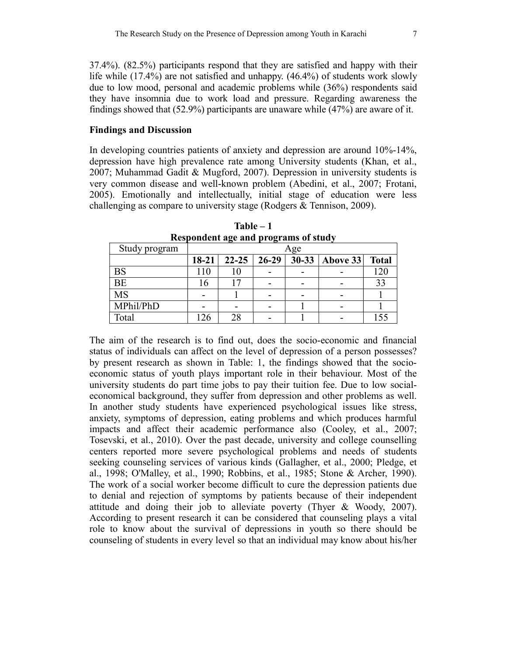37.4%). (82.5%) participants respond that they are satisfied and happy with their life while (17.4%) are not satisfied and unhappy. (46.4%) of students work slowly due to low mood, personal and academic problems while (36%) respondents said they have insomnia due to work load and pressure. Regarding awareness the findings showed that (52.9%) participants are unaware while (47%) are aware of it.

#### Findings and Discussion

In developing countries patients of anxiety and depression are around 10%-14%, depression have high prevalence rate among University students (Khan, et al., 2007; Muhammad Gadit & Mugford, 2007). Depression in university students is very common disease and well-known problem (Abedini, et al., 2007; Frotani, 2005). Emotionally and intellectually, initial stage of education were less challenging as compare to university stage (Rodgers & Tennison, 2009).

| respondent age and programs or staal |       |           |         |  |                  |              |
|--------------------------------------|-------|-----------|---------|--|------------------|--------------|
| Study program                        | Age   |           |         |  |                  |              |
|                                      | 18-21 | $22 - 25$ | $26-29$ |  | 30-33   Above 33 | <b>Total</b> |
| <b>BS</b>                            | 110   |           |         |  |                  | 120          |
| <b>BE</b>                            | 16    |           |         |  |                  | 33           |
| <b>MS</b>                            |       |           |         |  |                  |              |
| MPhil/PhD                            |       |           |         |  |                  |              |
| Total                                |       |           |         |  |                  | 155          |

Table – 1 Respondent age and programs of study

The aim of the research is to find out, does the socio-economic and financial status of individuals can affect on the level of depression of a person possesses? by present research as shown in Table: 1, the findings showed that the socioeconomic status of youth plays important role in their behaviour. Most of the university students do part time jobs to pay their tuition fee. Due to low socialeconomical background, they suffer from depression and other problems as well. In another study students have experienced psychological issues like stress, anxiety, symptoms of depression, eating problems and which produces harmful impacts and affect their academic performance also (Cooley, et al., 2007; Tosevski, et al., 2010). Over the past decade, university and college counselling centers reported more severe psychological problems and needs of students seeking counseling services of various kinds (Gallagher, et al., 2000; Pledge, et al., 1998; O'Malley, et al., 1990; Robbins, et al., 1985; Stone & Archer, 1990). The work of a social worker become difficult to cure the depression patients due to denial and rejection of symptoms by patients because of their independent attitude and doing their job to alleviate poverty (Thyer & Woody, 2007). According to present research it can be considered that counseling plays a vital role to know about the survival of depressions in youth so there should be counseling of students in every level so that an individual may know about his/her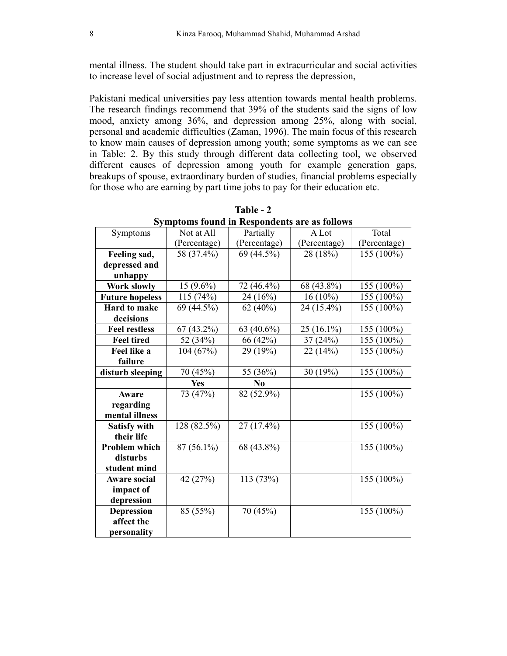mental illness. The student should take part in extracurricular and social activities to increase level of social adjustment and to repress the depression,

Pakistani medical universities pay less attention towards mental health problems. The research findings recommend that 39% of the students said the signs of low mood, anxiety among 36%, and depression among 25%, along with social, personal and academic difficulties (Zaman, 1996). The main focus of this research to know main causes of depression among youth; some symptoms as we can see in Table: 2. By this study through different data collecting tool, we observed different causes of depression among youth for example generation gaps, breakups of spouse, extraordinary burden of studies, financial problems especially for those who are earning by part time jobs to pay for their education etc.

|                        | рушроння гойна ні теаронаснея аге ая гономя |                |              |              |
|------------------------|---------------------------------------------|----------------|--------------|--------------|
| Symptoms               | Not at All                                  | Partially      | A Lot        | Total        |
|                        | (Percentage)                                | (Percentage)   | (Percentage) | (Percentage) |
| Feeling sad,           | 58 (37.4%)                                  | 69 (44.5%)     | 28 (18%)     | 155 (100%)   |
| depressed and          |                                             |                |              |              |
| unhappy                |                                             |                |              |              |
| Work slowly            | $15(9.6\%)$                                 | 72 (46.4%)     | 68 (43.8%)   | 155 (100%)   |
| <b>Future hopeless</b> | 115(74%)                                    | 24 (16%)       | $16(10\%)$   | 155 (100%)   |
| <b>Hard to make</b>    | 69 (44.5%)                                  | 62(40%)        | 24 (15.4%)   | 155 (100%)   |
| decisions              |                                             |                |              |              |
| <b>Feel restless</b>   | $67(43.2\%)$                                | 63 (40.6%)     | $25(16.1\%)$ | 155 (100%)   |
| <b>Feel tired</b>      | 52 (34%)                                    | 66 (42%)       | 37(24%)      | 155 (100%)   |
| Feel like a            | 104 (67%)                                   | 29 (19%)       | 22 (14%)     | 155 (100%)   |
| failure                |                                             |                |              |              |
| disturb sleeping       | 70 (45%)                                    | 55 (36%)       | 30 (19%)     | 155 (100%)   |
|                        | Yes                                         | N <sub>0</sub> |              |              |
| Aware                  | 73 (47%)                                    | 82 (52.9%)     |              | 155 (100%)   |
| regarding              |                                             |                |              |              |
| mental illness         |                                             |                |              |              |
| <b>Satisfy with</b>    | 128 (82.5%)                                 | 27 (17.4%)     |              | 155 (100%)   |
| their life             |                                             |                |              |              |
| <b>Problem which</b>   | $87(56.1\%)$                                | 68 (43.8%)     |              | 155 (100%)   |
| disturbs               |                                             |                |              |              |
| student mind           |                                             |                |              |              |
| <b>Aware social</b>    | 42 (27%)                                    | 113 (73%)      |              | 155 (100%)   |
| impact of              |                                             |                |              |              |
| depression             |                                             |                |              |              |
| <b>Depression</b>      | 85 (55%)                                    | 70 (45%)       |              | 155 (100%)   |
| affect the             |                                             |                |              |              |
| personality            |                                             |                |              |              |

Table - 2 Symptoms found in Respondents are as follows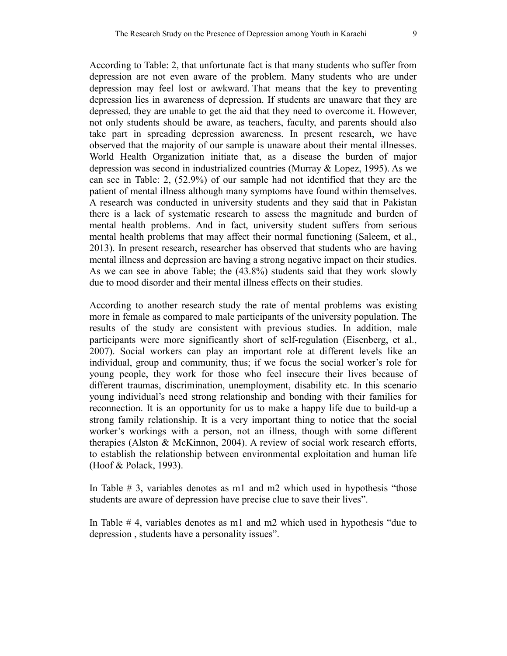According to Table: 2, that unfortunate fact is that many students who suffer from depression are not even aware of the problem. Many students who are under depression may feel lost or awkward. That means that the key to preventing depression lies in awareness of depression. If students are unaware that they are depressed, they are unable to get the aid that they need to overcome it. However, not only students should be aware, as teachers, faculty, and parents should also take part in spreading depression awareness. In present research, we have observed that the majority of our sample is unaware about their mental illnesses. World Health Organization initiate that, as a disease the burden of major depression was second in industrialized countries (Murray & Lopez, 1995). As we can see in Table: 2, (52.9%) of our sample had not identified that they are the patient of mental illness although many symptoms have found within themselves. A research was conducted in university students and they said that in Pakistan there is a lack of systematic research to assess the magnitude and burden of mental health problems. And in fact, university student suffers from serious mental health problems that may affect their normal functioning (Saleem, et al., 2013). In present research, researcher has observed that students who are having mental illness and depression are having a strong negative impact on their studies. As we can see in above Table; the (43.8%) students said that they work slowly due to mood disorder and their mental illness effects on their studies.

According to another research study the rate of mental problems was existing more in female as compared to male participants of the university population. The results of the study are consistent with previous studies. In addition, male participants were more significantly short of self-regulation (Eisenberg, et al., 2007). Social workers can play an important role at different levels like an individual, group and community, thus; if we focus the social worker's role for young people, they work for those who feel insecure their lives because of different traumas, discrimination, unemployment, disability etc. In this scenario young individual's need strong relationship and bonding with their families for reconnection. It is an opportunity for us to make a happy life due to build-up a strong family relationship. It is a very important thing to notice that the social worker's workings with a person, not an illness, though with some different therapies (Alston & McKinnon, 2004). A review of social work research efforts, to establish the relationship between environmental exploitation and human life (Hoof & Polack, 1993).

In Table # 3, variables denotes as m1 and m2 which used in hypothesis "those students are aware of depression have precise clue to save their lives".

In Table # 4, variables denotes as m1 and m2 which used in hypothesis "due to depression , students have a personality issues".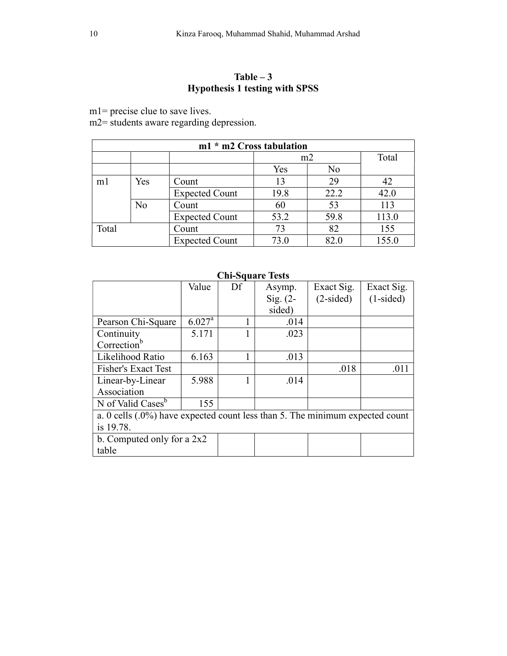# Table  $-3$ Hypothesis 1 testing with SPSS

m1= precise clue to save lives.

m2= students aware regarding depression.

| m1 * m2 Cross tabulation |     |                       |      |      |       |  |
|--------------------------|-----|-----------------------|------|------|-------|--|
|                          |     |                       | m2   |      | Total |  |
|                          |     |                       | Yes  | No   |       |  |
| m <sub>1</sub>           | Yes | Count                 | 13   | 29   | 42    |  |
|                          |     | <b>Expected Count</b> | 19.8 | 22.2 | 42.0  |  |
|                          | No  | Count                 | 60   | 53   | 113   |  |
|                          |     | <b>Expected Count</b> | 53.2 | 59.8 | 113.0 |  |
| Total                    |     | Count                 | 73   | 82   | 155   |  |
|                          |     | <b>Expected Count</b> | 73.0 | 82.0 | 155.0 |  |

#### Value Df Asymp. Sig. (2 sided) Exact Sig. (2-sided) Exact Sig. (1-sided) Pearson Chi-Square  $\begin{array}{|c|c|c|c|c|} \hline 6.027^a & 1 & .014 \hline \end{array}$ **Continuity**  $Correction<sup>b</sup>$  $5.171$  1 .023 Likelihood Ratio  $\begin{array}{|c|c|c|c|} \hline 6.163 & 1 & .013 \ \hline \end{array}$ Fisher's Exact Test .018 .011 Linear-by-Linear Association 5.988 1 .014 N of Valid Cases<sup>b</sup> 155 a. 0 cells (.0%) have expected count less than 5. The minimum expected count is 19.78. b. Computed only for a 2x2 table

# Chi-Square Tests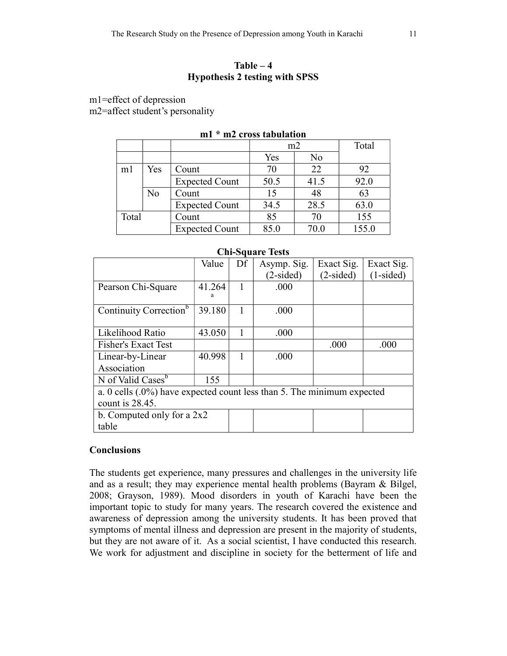# $Table - 4$ Hypothesis 2 testing with SPSS

m1=effect of depression

m2=affect student's personality

|                |     |                       | m2   |      | Total |  |
|----------------|-----|-----------------------|------|------|-------|--|
|                |     |                       | Yes  | No   |       |  |
| m <sub>1</sub> | Yes | Count                 | 70   | 22   | 92    |  |
|                |     | <b>Expected Count</b> | 50.5 | 41.5 | 92.0  |  |
|                | No  | Count                 | 15   | 48   | 63    |  |
|                |     | <b>Expected Count</b> | 34.5 | 28.5 | 63.0  |  |
| Total          |     | Count                 | 85   | 70   | 155   |  |
|                |     | <b>Expected Count</b> | 85.0 | 70.0 | 155.0 |  |

# m1 \* m2 cross tabulation

| <b>Chi-Square Tests</b>                                                |        |    |             |             |             |  |
|------------------------------------------------------------------------|--------|----|-------------|-------------|-------------|--|
|                                                                        | Value  | Df | Asymp. Sig. | Exact Sig.  | Exact Sig.  |  |
|                                                                        |        |    | $(2-sided)$ | $(2-sided)$ | $(1-sided)$ |  |
| Pearson Chi-Square                                                     | 41.264 |    | .000        |             |             |  |
| Continuity Correction <sup>b</sup>                                     | 39.180 | 1  | .000        |             |             |  |
| Likelihood Ratio                                                       | 43.050 |    | .000        |             |             |  |
| <b>Fisher's Exact Test</b>                                             |        |    |             | .000        | .000        |  |
| Linear-by-Linear                                                       | 40.998 |    | .000        |             |             |  |
| Association                                                            |        |    |             |             |             |  |
| N of Valid Cases <sup>b</sup><br>155                                   |        |    |             |             |             |  |
| a. 0 cells (.0%) have expected count less than 5. The minimum expected |        |    |             |             |             |  |
| count is 28.45.                                                        |        |    |             |             |             |  |
| b. Computed only for a $2x2$                                           |        |    |             |             |             |  |
| table                                                                  |        |    |             |             |             |  |

# $\mathbf{C}$   $\mathbf{C}$   $\mathbf{C}$   $\mathbf{C}$   $\mathbf{C}$   $\mathbf{C}$   $\mathbf{C}$   $\mathbf{C}$

# **Conclusions**

The students get experience, many pressures and challenges in the university life and as a result; they may experience mental health problems (Bayram & Bilgel, 2008; Grayson, 1989). Mood disorders in youth of Karachi have been the important topic to study for many years. The research covered the existence and awareness of depression among the university students. It has been proved that symptoms of mental illness and depression are present in the majority of students, but they are not aware of it. As a social scientist, I have conducted this research. We work for adjustment and discipline in society for the betterment of life and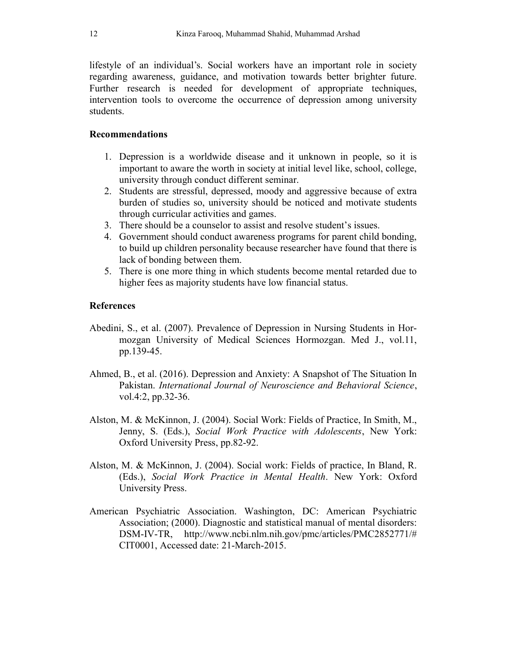lifestyle of an individual's. Social workers have an important role in society regarding awareness, guidance, and motivation towards better brighter future. Further research is needed for development of appropriate techniques, intervention tools to overcome the occurrence of depression among university students.

## Recommendations

- 1. Depression is a worldwide disease and it unknown in people, so it is important to aware the worth in society at initial level like, school, college, university through conduct different seminar.
- 2. Students are stressful, depressed, moody and aggressive because of extra burden of studies so, university should be noticed and motivate students through curricular activities and games.
- 3. There should be a counselor to assist and resolve student's issues.
- 4. Government should conduct awareness programs for parent child bonding, to build up children personality because researcher have found that there is lack of bonding between them.
- 5. There is one more thing in which students become mental retarded due to higher fees as majority students have low financial status.

### **References**

- Abedini, S., et al. (2007). Prevalence of Depression in Nursing Students in Hormozgan University of Medical Sciences Hormozgan. Med J., vol.11, pp.139-45.
- Ahmed, B., et al. (2016). Depression and Anxiety: A Snapshot of The Situation In Pakistan. International Journal of Neuroscience and Behavioral Science, vol.4:2, pp.32-36.
- Alston, M. & McKinnon, J. (2004). Social Work: Fields of Practice, In Smith, M., Jenny, S. (Eds.), Social Work Practice with Adolescents, New York: Oxford University Press, pp.82-92.
- Alston, M. & McKinnon, J. (2004). Social work: Fields of practice, In Bland, R. (Eds.), Social Work Practice in Mental Health. New York: Oxford University Press.
- American Psychiatric Association. Washington, DC: American Psychiatric Association; (2000). Diagnostic and statistical manual of mental disorders: DSM-IV-TR, http://www.ncbi.nlm.nih.gov/pmc/articles/PMC2852771/# CIT0001, Accessed date: 21-March-2015.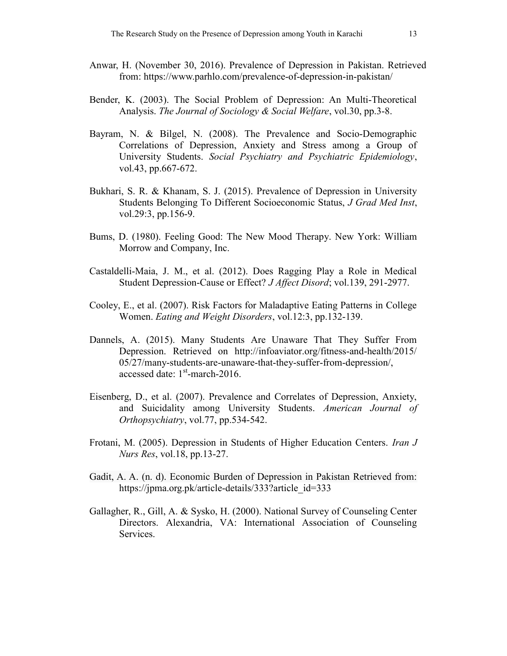- Anwar, H. (November 30, 2016). Prevalence of Depression in Pakistan. Retrieved from: https://www.parhlo.com/prevalence-of-depression-in-pakistan/
- Bender, K. (2003). The Social Problem of Depression: An Multi-Theoretical Analysis. The Journal of Sociology & Social Welfare, vol.30, pp.3-8.
- Bayram, N. & Bilgel, N. (2008). The Prevalence and Socio-Demographic Correlations of Depression, Anxiety and Stress among a Group of University Students. Social Psychiatry and Psychiatric Epidemiology, vol.43, pp.667-672.
- Bukhari, S. R. & Khanam, S. J. (2015). Prevalence of Depression in University Students Belonging To Different Socioeconomic Status, J Grad Med Inst, vol.29:3, pp.156-9.
- Bums, D. (1980). Feeling Good: The New Mood Therapy. New York: William Morrow and Company, Inc.
- Castaldelli-Maia, J. M., et al. (2012). Does Ragging Play a Role in Medical Student Depression-Cause or Effect? J Affect Disord; vol.139, 291-2977.
- Cooley, E., et al. (2007). Risk Factors for Maladaptive Eating Patterns in College Women. Eating and Weight Disorders, vol.12:3, pp.132-139.
- Dannels, A. (2015). Many Students Are Unaware That They Suffer From Depression. Retrieved on http://infoaviator.org/fitness-and-health/2015/ 05/27/many-students-are-unaware-that-they-suffer-from-depression/, accessed date:  $1<sup>st</sup>$ -march-2016.
- Eisenberg, D., et al. (2007). Prevalence and Correlates of Depression, Anxiety, and Suicidality among University Students. American Journal of Orthopsychiatry, vol.77, pp.534-542.
- Frotani, M. (2005). Depression in Students of Higher Education Centers. *Iran J* Nurs Res, vol.18, pp.13-27.
- Gadit, A. A. (n. d). Economic Burden of Depression in Pakistan Retrieved from: https://jpma.org.pk/article-details/333?article\_id=333
- Gallagher, R., Gill, A. & Sysko, H. (2000). National Survey of Counseling Center Directors. Alexandria, VA: International Association of Counseling Services.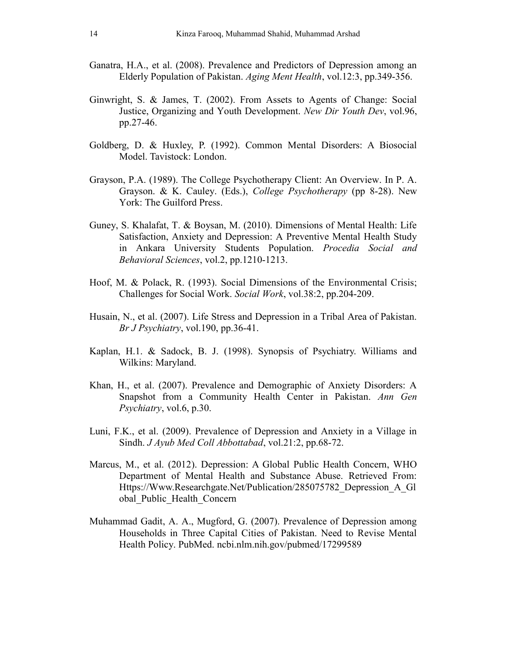- Ganatra, H.A., et al. (2008). Prevalence and Predictors of Depression among an Elderly Population of Pakistan. Aging Ment Health, vol.12:3, pp.349-356.
- Ginwright, S. & James, T. (2002). From Assets to Agents of Change: Social Justice, Organizing and Youth Development. New Dir Youth Dev, vol.96, pp.27-46.
- Goldberg, D. & Huxley, P. (1992). Common Mental Disorders: A Biosocial Model. Tavistock: London.
- Grayson, P.A. (1989). The College Psychotherapy Client: An Overview. In P. A. Grayson. & K. Cauley. (Eds.), College Psychotherapy (pp 8-28). New York: The Guilford Press.
- Guney, S. Khalafat, T. & Boysan, M. (2010). Dimensions of Mental Health: Life Satisfaction, Anxiety and Depression: A Preventive Mental Health Study in Ankara University Students Population. Procedia Social and Behavioral Sciences, vol.2, pp.1210-1213.
- Hoof, M. & Polack, R. (1993). Social Dimensions of the Environmental Crisis; Challenges for Social Work. Social Work, vol.38:2, pp.204-209.
- Husain, N., et al. (2007). Life Stress and Depression in a Tribal Area of Pakistan. Br J Psychiatry, vol.190, pp.36-41.
- Kaplan, H.1. & Sadock, B. J. (1998). Synopsis of Psychiatry. Williams and Wilkins: Maryland.
- Khan, H., et al. (2007). Prevalence and Demographic of Anxiety Disorders: A Snapshot from a Community Health Center in Pakistan. Ann Gen Psychiatry, vol.6, p.30.
- Luni, F.K., et al. (2009). Prevalence of Depression and Anxiety in a Village in Sindh. *J Ayub Med Coll Abbottabad*, vol.21:2, pp.68-72.
- Marcus, M., et al. (2012). Depression: A Global Public Health Concern, WHO Department of Mental Health and Substance Abuse. Retrieved From: Https://Www.Researchgate.Net/Publication/285075782\_Depression\_A\_Gl obal\_Public\_Health\_Concern
- Muhammad Gadit, A. A., Mugford, G. (2007). Prevalence of Depression among Households in Three Capital Cities of Pakistan. Need to Revise Mental Health Policy. PubMed. ncbi.nlm.nih.gov/pubmed/17299589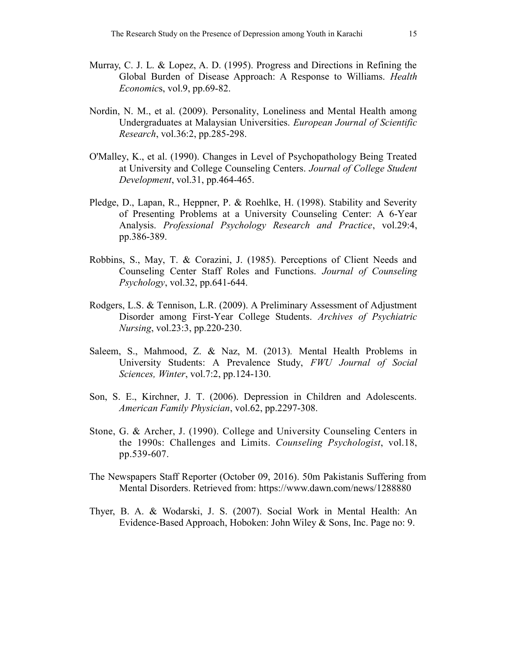- Murray, C. J. L. & Lopez, A. D. (1995). Progress and Directions in Refining the Global Burden of Disease Approach: A Response to Williams. Health Economics, vol.9, pp.69-82.
- Nordin, N. M., et al. (2009). Personality, Loneliness and Mental Health among Undergraduates at Malaysian Universities. European Journal of Scientific Research, vol.36:2, pp.285-298.
- O'Malley, K., et al. (1990). Changes in Level of Psychopathology Being Treated at University and College Counseling Centers. Journal of College Student Development, vol.31, pp.464-465.
- Pledge, D., Lapan, R., Heppner, P. & Roehlke, H. (1998). Stability and Severity of Presenting Problems at a University Counseling Center: A 6-Year Analysis. Professional Psychology Research and Practice, vol.29:4, pp.386-389.
- Robbins, S., May, T. & Corazini, J. (1985). Perceptions of Client Needs and Counseling Center Staff Roles and Functions. Journal of Counseling Psychology, vol.32, pp.641-644.
- Rodgers, L.S. & Tennison, L.R. (2009). A Preliminary Assessment of Adjustment Disorder among First-Year College Students. Archives of Psychiatric Nursing, vol.23:3, pp.220-230.
- Saleem, S., Mahmood, Z. & Naz, M. (2013). Mental Health Problems in University Students: A Prevalence Study, FWU Journal of Social Sciences, Winter, vol.7:2, pp.124-130.
- Son, S. E., Kirchner, J. T. (2006). Depression in Children and Adolescents. American Family Physician, vol.62, pp.2297-308.
- Stone, G. & Archer, J. (1990). College and University Counseling Centers in the 1990s: Challenges and Limits. Counseling Psychologist, vol.18, pp.539-607.
- The Newspapers Staff Reporter (October 09, 2016). 50m Pakistanis Suffering from Mental Disorders. Retrieved from: https://www.dawn.com/news/1288880
- Thyer, B. A. & Wodarski, J. S. (2007). Social Work in Mental Health: An Evidence-Based Approach, Hoboken: John Wiley & Sons, Inc. Page no: 9.